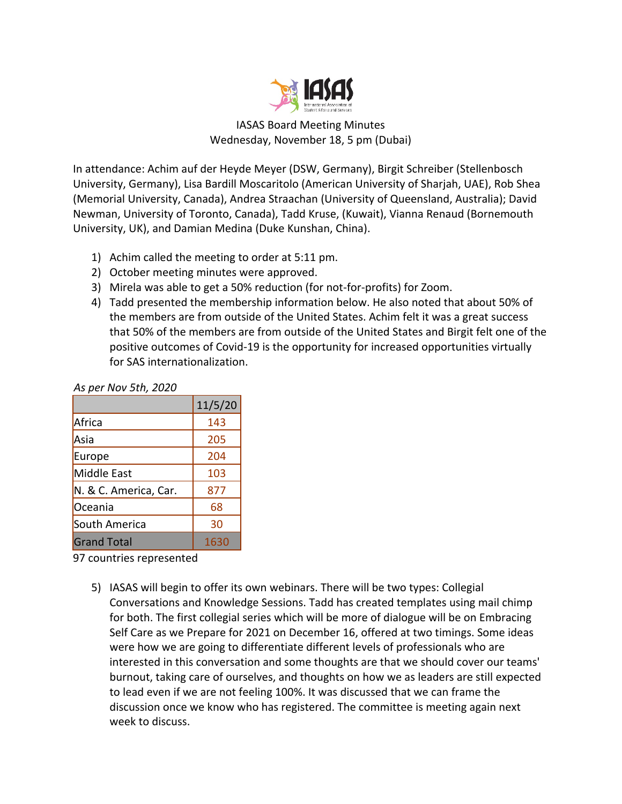

## IASAS Board Meeting Minutes Wednesday, November 18, 5 pm (Dubai)

In attendance: Achim auf der Heyde Meyer (DSW, Germany), Birgit Schreiber (Stellenbosch University, Germany), Lisa Bardill Moscaritolo (American University of Sharjah, UAE), Rob Shea (Memorial University, Canada), Andrea Straachan (University of Queensland, Australia); David Newman, University of Toronto, Canada), Tadd Kruse, (Kuwait), Vianna Renaud (Bornemouth University, UK), and Damian Medina (Duke Kunshan, China).

- 1) Achim called the meeting to order at 5:11 pm.
- 2) October meeting minutes were approved.
- 3) Mirela was able to get a 50% reduction (for not-for-profits) for Zoom.
- 4) Tadd presented the membership information below. He also noted that about 50% of the members are from outside of the United States. Achim felt it was a great success that 50% of the members are from outside of the United States and Birgit felt one of the positive outcomes of Covid-19 is the opportunity for increased opportunities virtually for SAS internationalization.

## *As per Nov 5th, 2020*

|                       | 11/5/20 |
|-----------------------|---------|
| Africa                | 143     |
| Asia                  | 205     |
| Europe                | 204     |
| Middle East           | 103     |
| N. & C. America, Car. | 877     |
| Oceania               | 68      |
| South America         | 30      |
| <b>Grand Total</b>    | 1630    |

97 countries represented

5) IASAS will begin to offer its own webinars. There will be two types: Collegial Conversations and Knowledge Sessions. Tadd has created templates using mail chimp for both. The first collegial series which will be more of dialogue will be on Embracing Self Care as we Prepare for 2021 on December 16, offered at two timings. Some ideas were how we are going to differentiate different levels of professionals who are interested in this conversation and some thoughts are that we should cover our teams' burnout, taking care of ourselves, and thoughts on how we as leaders are still expected to lead even if we are not feeling 100%. It was discussed that we can frame the discussion once we know who has registered. The committee is meeting again next week to discuss.